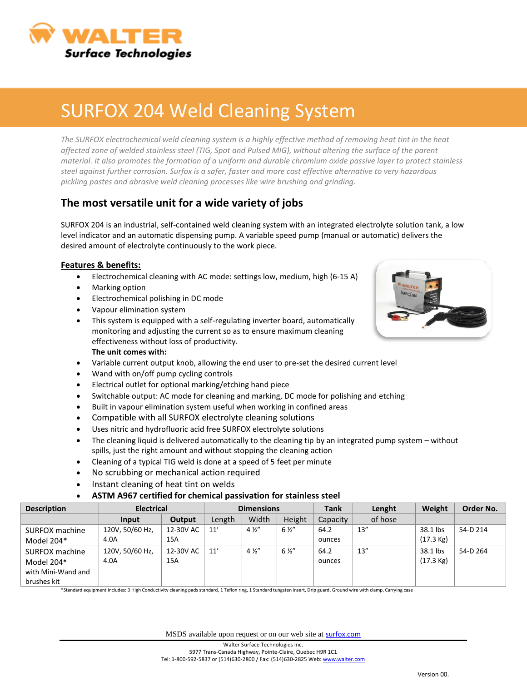

## SURFOX 204 Weld Cleaning System

The SURFOX electrochemical weld cleaning system is a highly effective method of removing heat tint in the heat *affected zone of welded stainless steel (TIG, Spot and Pulsed MIG), without altering the surface of the parent material. It also promotes the formation of a uniform and durable chromium oxide passive layer to protect stainless steel against further corrosion. Surfox is a safer, faster and more cost effective alternative to very hazardous pickling pastes and abrasive weld cleaning processes like wire brushing and grinding.*

### **The most versatile unit for a wide variety of jobs**

SURFOX 204 is an industrial, self-contained weld cleaning system with an integrated electrolyte solution tank, a low level indicator and an automatic dispensing pump. A variable speed pump (manual or automatic) delivers the desired amount of electrolyte continuously to the work piece.

#### **Features & benefits:**

- Electrochemical cleaning with AC mode: settings low, medium, high (6-15 A)
- Marking option
- **Electrochemical polishing in DC mode**
- Vapour elimination system
- This system is equipped with a self-regulating inverter board, automatically monitoring and adjusting the current so as to ensure maximum cleaning effectiveness without loss of productivity. **The unit comes with:**
- Variable current output knob, allowing the end user to pre-set the desired current level
- Wand with on/off pump cycling controls
- Electrical outlet for optional marking/etching hand piece
- Switchable output: AC mode for cleaning and marking, DC mode for polishing and etching
- Built in vapour elimination system useful when working in confined areas
- Compatible with all SURFOX electrolyte cleaning solutions
- Uses nitric and hydrofluoric acid free SURFOX electrolyte solutions
- The cleaning liquid is delivered automatically to the cleaning tip by an integrated pump system without spills, just the right amount and without stopping the cleaning action
- Cleaning of a typical TIG weld is done at a speed of 5 feet per minute
- No scrubbing or mechanical action required
- Instant cleaning of heat tint on welds

#### **ASTM A967 certified for chemical passivation for stainless steel**

| <b>Description</b> | <b>Electrical</b> |           | <b>Dimensions</b> |                |                | <b>Tank</b> | Lenght  | Weight              | Order No. |
|--------------------|-------------------|-----------|-------------------|----------------|----------------|-------------|---------|---------------------|-----------|
|                    | Input             | Output    | Length            | Width          | Height         | Capacity    | of hose |                     |           |
| SURFOX machine     | 120V, 50/60 Hz,   | 12-30V AC | 11'               | $4\frac{1}{2}$ | $6\frac{1}{2}$ | 64.2        | 13''    | 38.1 lbs            | 54-D 214  |
| Model 204*         | 4.0A              | 15A       |                   |                |                | ounces      |         | $(17.3 \text{ kg})$ |           |
| SURFOX machine     | 120V, 50/60 Hz,   | 12-30V AC | 11'               | $4\frac{1}{2}$ | $6\frac{1}{2}$ | 64.2        | 13''    | 38.1 lbs            | 54-D 264  |
| Model 204*         | 4.0A              | 15A       |                   |                |                | ounces      |         | $(17.3 \text{ kg})$ |           |
| with Mini-Wand and |                   |           |                   |                |                |             |         |                     |           |
| brushes kit        |                   |           |                   |                |                |             |         |                     |           |

\*Standard equipment includes: 3 High Conductivity cleaning pads standard, 1 Teflon ring, 1 Standard tungsten insert, Drip guard, Ground wire with clamp, Carrying case

MSDS available upon request or on our web site at **[surfox.com](http://www.surfox.com/)**